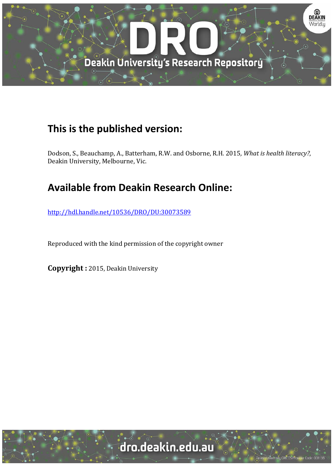

## **This is the published version:**

Dodson, S., Beauchamp, A., Batterham, R.W. and Osborne, R.H. 2015*, What is health literacy?*, Deakin University, Melbourne, Vic.

# **Available from Deakin Research Online:**

http://hdl.handle.net/10536/DRO/DU:30073589

Reproduced with the kind permission of the copyright owner

**Copyright** : 2015, Deakin University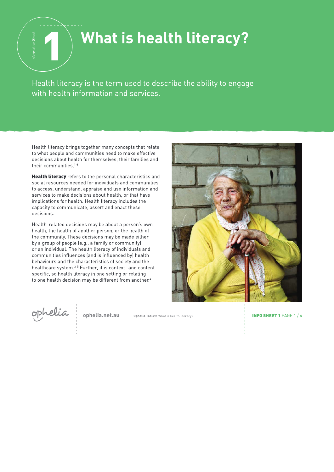# What is health literacy?

Health literacy is the term used to describe the ability to engage with health information and services.

Health literacy brings together many concepts that relate to what people and communities need to make effective decisions about health for themselves, their families and their communities.<sup>1-6</sup>

Health literacy refers to the personal characteristics and social resources needed for individuals and communities to access, understand, appraise and use information and services to make decisions about health, or that have implications for health. Health literacy includes the capacity to communicate, assert and enact these decisions.

Health-related decisions may be about a person's own health, the health of another person, or the health of the community. These decisions may be made either by a group of people (e.g., a family or community) or an individual. The health literacy of individuals and communities influences (and is influenced by) health behaviours and the characteristics of society and the healthcare system.<sup>2-5</sup> Further, it is context- and contentspecific, so health literacy in one setting or relating to one health decision may be different from another.<sup>4</sup>



ophelia

ophelia.net.au

Ophelia Toolkit What is health literacy?

**INFO SHEET 1 PAGE 1/4**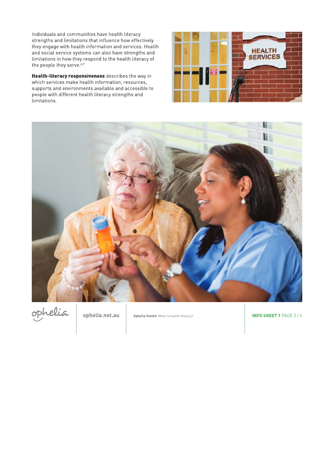Individuals and communities have health literacy strengths and limitations that influence how effectively they engage with health information and services. Health and social service systems can also have strengths and limitations in how they respond to the health literacy of the people they serve.<sup>6,7</sup>

Health-literacy responsiveness describes the way in which services make health information, resources, supports and environments available and accessible to people with different health literacy strengths and limitations.







ophelia.net.au

Ophelia Toolkit What is health literacy?

**INFO SHEET 1 PAGE 2 / 4**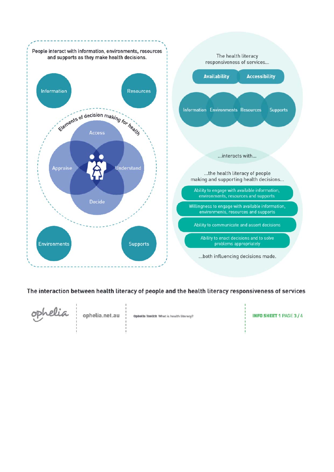

### The interaction between health literacy of people and the health literacy responsiveness of services



ophelia.net.au

Opbolla Toolkik What is health literacy?

**INFO SHEET 1 PAGE 3/4**